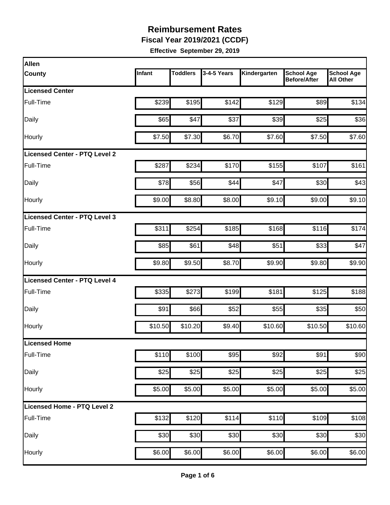**Fiscal Year 2019/2021 (CCDF)** 

| Allen                                |         |                 |             |              |                                          |                                       |
|--------------------------------------|---------|-----------------|-------------|--------------|------------------------------------------|---------------------------------------|
| <b>County</b>                        | Infant  | <b>Toddlers</b> | 3-4-5 Years | Kindergarten | <b>School Age</b><br><b>Before/After</b> | <b>School Age</b><br><b>All Other</b> |
| <b>Licensed Center</b>               |         |                 |             |              |                                          |                                       |
| Full-Time                            | \$239   | \$195           | \$142       | \$129        | \$89                                     | \$134                                 |
| Daily                                | \$65    | \$47            | \$37        | \$39         | \$25                                     | \$36                                  |
| Hourly                               | \$7.50  | \$7.30          | \$6.70      | \$7.60       | \$7.50                                   | \$7.60                                |
| <b>Licensed Center - PTQ Level 2</b> |         |                 |             |              |                                          |                                       |
| Full-Time                            | \$287   | \$234           | \$170       | \$155        | \$107                                    | \$161                                 |
| Daily                                | \$78    | \$56            | \$44        | \$47         | \$30                                     | \$43                                  |
| Hourly                               | \$9.00  | \$8.80          | \$8.00      | \$9.10       | \$9.00                                   | \$9.10                                |
| Licensed Center - PTQ Level 3        |         |                 |             |              |                                          |                                       |
| Full-Time                            | \$311   | \$254           | \$185       | \$168        | \$116                                    | \$174                                 |
| Daily                                | \$85    | \$61            | \$48        | \$51         | \$33                                     | \$47                                  |
| Hourly                               | \$9.80  | \$9.50          | \$8.70      | \$9.90       | \$9.80                                   | \$9.90                                |
| <b>Licensed Center - PTQ Level 4</b> |         |                 |             |              |                                          |                                       |
| Full-Time                            | \$335   | \$273           | \$199       | \$181        | \$125                                    | \$188                                 |
| Daily                                | \$91    | \$66            | \$52        | \$55         | \$35                                     | \$50                                  |
| Hourly                               | \$10.50 | \$10.20         | \$9.40      | \$10.60      | \$10.50                                  | \$10.60                               |
| <b>Licensed Home</b>                 |         |                 |             |              |                                          |                                       |
| Full-Time                            | \$110   | \$100           | \$95        | \$92         | \$91                                     | \$90                                  |
| Daily                                | \$25    | \$25            | \$25        | \$25         | \$25                                     | \$25                                  |
| Hourly                               | \$5.00  | \$5.00          | \$5.00      | \$5.00       | \$5.00                                   | \$5.00                                |
| Licensed Home - PTQ Level 2          |         |                 |             |              |                                          |                                       |
| Full-Time                            | \$132   | \$120           | \$114       | \$110        | \$109                                    | \$108                                 |
| Daily                                | \$30    | \$30            | \$30        | \$30         | \$30                                     | \$30                                  |
| Hourly                               | \$6.00  | \$6.00          | \$6.00      | \$6.00       | \$6.00                                   | \$6.00                                |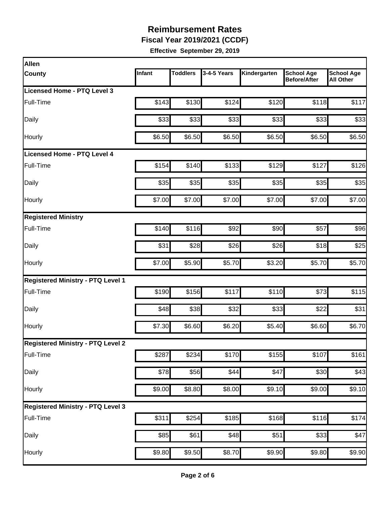**Fiscal Year 2019/2021 (CCDF)** 

| Infant | <b>Toddlers</b> | 3-4-5 Years      | Kindergarten                                                                                                                        | <b>School Age</b><br><b>Before/After</b> | <b>School Age</b><br><b>All Other</b>                                        |
|--------|-----------------|------------------|-------------------------------------------------------------------------------------------------------------------------------------|------------------------------------------|------------------------------------------------------------------------------|
|        |                 |                  |                                                                                                                                     |                                          |                                                                              |
| \$143  |                 | \$124            | \$120                                                                                                                               | \$118                                    | \$117                                                                        |
| \$33   |                 | \$33             | \$33                                                                                                                                |                                          | \$33                                                                         |
| \$6.50 |                 | \$6.50           | \$6.50                                                                                                                              | \$6.50                                   | \$6.50                                                                       |
|        |                 |                  |                                                                                                                                     |                                          |                                                                              |
| \$154  |                 | \$133            | \$129                                                                                                                               | \$127                                    | \$126                                                                        |
| \$35   |                 | \$35             | \$35                                                                                                                                | \$35                                     | \$35                                                                         |
| \$7.00 |                 | \$7.00           | \$7.00                                                                                                                              | \$7.00                                   | \$7.00                                                                       |
|        |                 |                  |                                                                                                                                     |                                          |                                                                              |
| \$140  |                 | \$92             |                                                                                                                                     | \$57                                     | \$96                                                                         |
| \$31   |                 | \$26             | \$26                                                                                                                                |                                          | \$25                                                                         |
| \$7.00 |                 | \$5.70           | \$3.20                                                                                                                              | \$5.70                                   | \$5.70                                                                       |
|        |                 |                  |                                                                                                                                     |                                          |                                                                              |
| \$190  |                 | \$117            | \$110                                                                                                                               | \$73                                     | \$115                                                                        |
| \$48   |                 | \$32             | \$33                                                                                                                                | \$22                                     | \$31                                                                         |
| \$7.30 |                 | \$6.20           | \$5.40                                                                                                                              |                                          | \$6.70                                                                       |
|        |                 |                  |                                                                                                                                     |                                          |                                                                              |
| \$287  | \$234           | \$170            | \$155                                                                                                                               | \$107                                    | \$161                                                                        |
|        |                 | \$44             | \$47                                                                                                                                |                                          | \$43                                                                         |
| \$9.00 |                 | \$8.00           | \$9.10                                                                                                                              | \$9.00                                   | \$9.10                                                                       |
|        |                 |                  |                                                                                                                                     |                                          |                                                                              |
| \$311  |                 | \$185            |                                                                                                                                     |                                          | \$174                                                                        |
| \$85   | \$61            | $\overline{$}48$ | \$51                                                                                                                                |                                          | \$47                                                                         |
| \$9.80 | \$9.50          | \$8.70           | $\overline{$9.90}$                                                                                                                  | \$9.80                                   | \$9.90                                                                       |
|        |                 | \$78             | \$130<br>\$33<br>\$6.50<br>\$140<br>\$35<br>\$7.00<br>\$116<br>\$28<br>\$5.90<br>\$156<br>\$38<br>\$6.60<br>\$56<br>\$8.80<br>\$254 |                                          | \$33<br>\$90<br>\$18<br>\$6.60<br>\$30<br>\$168<br>\$116<br>$\overline{$}33$ |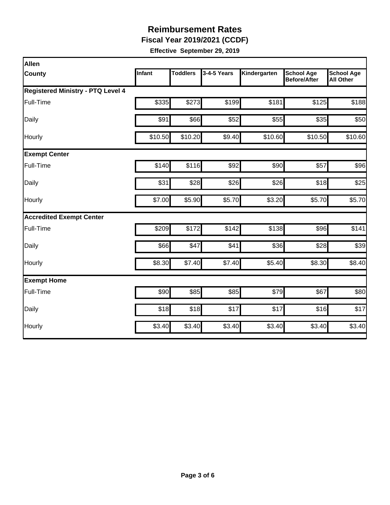**Fiscal Year 2019/2021 (CCDF)** 

| Allen                                    |         |          |             |              |                                          |                                       |  |  |  |
|------------------------------------------|---------|----------|-------------|--------------|------------------------------------------|---------------------------------------|--|--|--|
| <b>County</b>                            | Infant  | Toddlers | 3-4-5 Years | Kindergarten | <b>School Age</b><br><b>Before/After</b> | <b>School Age</b><br><b>All Other</b> |  |  |  |
| <b>Registered Ministry - PTQ Level 4</b> |         |          |             |              |                                          |                                       |  |  |  |
| Full-Time                                | \$335   | \$273    | \$199       | \$181        | \$125                                    | \$188                                 |  |  |  |
| Daily                                    | \$91    | \$66     | \$52        | \$55         | \$35                                     | \$50                                  |  |  |  |
| Hourly                                   | \$10.50 | \$10.20  | \$9.40      | \$10.60      | \$10.50                                  | \$10.60                               |  |  |  |
| <b>Exempt Center</b>                     |         |          |             |              |                                          |                                       |  |  |  |
| Full-Time                                | \$140   | \$116    | \$92        | \$90         | \$57                                     | \$96                                  |  |  |  |
| Daily                                    | \$31    | \$28     | \$26        | \$26         | \$18                                     | \$25                                  |  |  |  |
| Hourly                                   | \$7.00  | \$5.90   | \$5.70      | \$3.20       | \$5.70                                   | \$5.70                                |  |  |  |
| <b>Accredited Exempt Center</b>          |         |          |             |              |                                          |                                       |  |  |  |
| Full-Time                                | \$209   | \$172    | \$142       | \$138        | \$96                                     | \$141                                 |  |  |  |
| Daily                                    | \$66    | \$47     | \$41        | \$36         | \$28                                     | \$39                                  |  |  |  |
| Hourly                                   | \$8.30  | \$7.40   | \$7.40      | \$5.40       | \$8.30                                   | \$8.40                                |  |  |  |
| <b>Exempt Home</b>                       |         |          |             |              |                                          |                                       |  |  |  |
| Full-Time                                | \$90    | \$85     | \$85        | \$79         | \$67                                     | \$80                                  |  |  |  |
| Daily                                    | \$18    | \$18     | \$17        | \$17         | \$16                                     | \$17                                  |  |  |  |
| Hourly                                   | \$3.40  | \$3.40   | \$3.40      | \$3.40       | \$3.40                                   | \$3.40                                |  |  |  |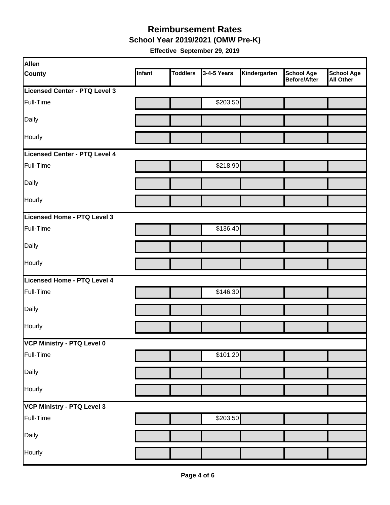**School Year 2019/2021 (OMW Pre-K)** 

| Allen                             |        |                 |             |              |                                   |                         |
|-----------------------------------|--------|-----------------|-------------|--------------|-----------------------------------|-------------------------|
| <b>County</b>                     | Infant | <b>Toddlers</b> | 3-4-5 Years | Kindergarten | <b>School Age</b><br>Before/After | School Age<br>All Other |
| Licensed Center - PTQ Level 3     |        |                 |             |              |                                   |                         |
| Full-Time                         |        |                 | \$203.50    |              |                                   |                         |
| Daily                             |        |                 |             |              |                                   |                         |
| Hourly                            |        |                 |             |              |                                   |                         |
| Licensed Center - PTQ Level 4     |        |                 |             |              |                                   |                         |
| Full-Time                         |        |                 | \$218.90    |              |                                   |                         |
| Daily                             |        |                 |             |              |                                   |                         |
| Hourly                            |        |                 |             |              |                                   |                         |
| Licensed Home - PTQ Level 3       |        |                 |             |              |                                   |                         |
| Full-Time                         |        |                 | \$136.40    |              |                                   |                         |
| Daily                             |        |                 |             |              |                                   |                         |
| Hourly                            |        |                 |             |              |                                   |                         |
| Licensed Home - PTQ Level 4       |        |                 |             |              |                                   |                         |
| Full-Time                         |        |                 | \$146.30    |              |                                   |                         |
| Daily                             |        |                 |             |              |                                   |                         |
| Hourly                            |        |                 |             |              |                                   |                         |
| VCP Ministry - PTQ Level 0        |        |                 |             |              |                                   |                         |
| Full-Time                         |        |                 | \$101.20    |              |                                   |                         |
| Daily                             |        |                 |             |              |                                   |                         |
| Hourly                            |        |                 |             |              |                                   |                         |
| <b>VCP Ministry - PTQ Level 3</b> |        |                 |             |              |                                   |                         |
| Full-Time                         |        |                 | \$203.50    |              |                                   |                         |
| Daily                             |        |                 |             |              |                                   |                         |
| Hourly                            |        |                 |             |              |                                   |                         |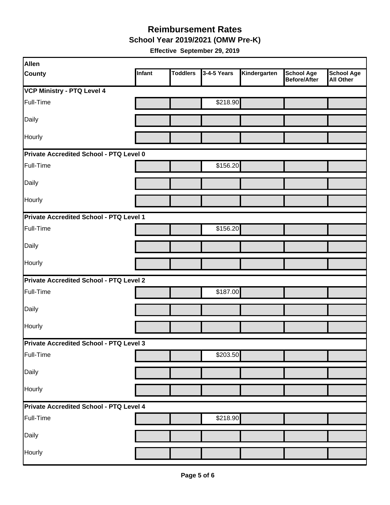**School Year 2019/2021 (OMW Pre-K)** 

| Allen                                          |        |                 |             |              |                                   |                                       |  |  |  |
|------------------------------------------------|--------|-----------------|-------------|--------------|-----------------------------------|---------------------------------------|--|--|--|
| <b>County</b>                                  | Infant | <b>Toddlers</b> | 3-4-5 Years | Kindergarten | <b>School Age</b><br>Before/After | <b>School Age</b><br><b>All Other</b> |  |  |  |
| <b>VCP Ministry - PTQ Level 4</b>              |        |                 |             |              |                                   |                                       |  |  |  |
| Full-Time                                      |        |                 | \$218.90    |              |                                   |                                       |  |  |  |
| Daily                                          |        |                 |             |              |                                   |                                       |  |  |  |
| Hourly                                         |        |                 |             |              |                                   |                                       |  |  |  |
| Private Accredited School - PTQ Level 0        |        |                 |             |              |                                   |                                       |  |  |  |
| Full-Time                                      |        |                 | \$156.20    |              |                                   |                                       |  |  |  |
| Daily                                          |        |                 |             |              |                                   |                                       |  |  |  |
| Hourly                                         |        |                 |             |              |                                   |                                       |  |  |  |
| Private Accredited School - PTQ Level 1        |        |                 |             |              |                                   |                                       |  |  |  |
| Full-Time                                      |        |                 | \$156.20    |              |                                   |                                       |  |  |  |
| Daily                                          |        |                 |             |              |                                   |                                       |  |  |  |
| Hourly                                         |        |                 |             |              |                                   |                                       |  |  |  |
| Private Accredited School - PTQ Level 2        |        |                 |             |              |                                   |                                       |  |  |  |
| Full-Time                                      |        |                 | \$187.00    |              |                                   |                                       |  |  |  |
| Daily                                          |        |                 |             |              |                                   |                                       |  |  |  |
| Hourly                                         |        |                 |             |              |                                   |                                       |  |  |  |
| Private Accredited School - PTQ Level 3        |        |                 |             |              |                                   |                                       |  |  |  |
| Full-Time                                      |        |                 | \$203.50    |              |                                   |                                       |  |  |  |
| Daily                                          |        |                 |             |              |                                   |                                       |  |  |  |
| Hourly                                         |        |                 |             |              |                                   |                                       |  |  |  |
| <b>Private Accredited School - PTQ Level 4</b> |        |                 |             |              |                                   |                                       |  |  |  |
| Full-Time                                      |        |                 | \$218.90    |              |                                   |                                       |  |  |  |
| Daily                                          |        |                 |             |              |                                   |                                       |  |  |  |
| Hourly                                         |        |                 |             |              |                                   |                                       |  |  |  |